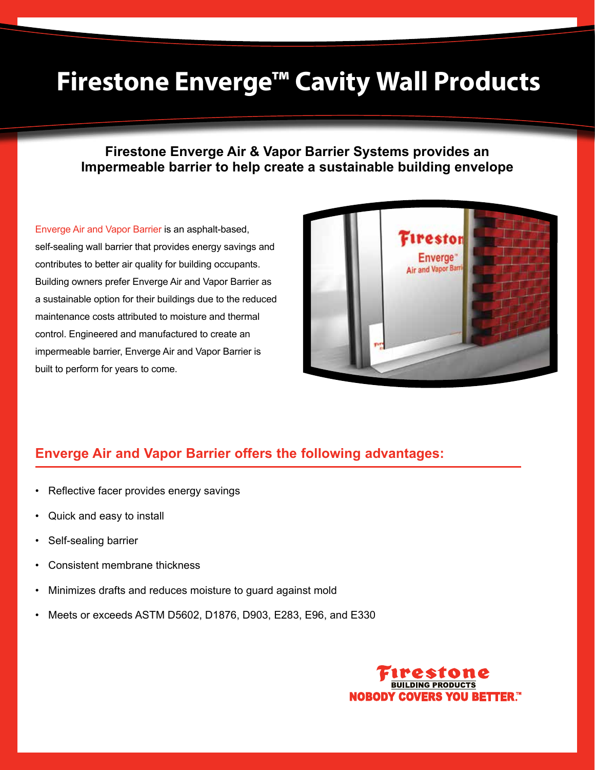# **Firestone Enverge™ Cavity Wall Products**

### **Firestone Enverge Air & Vapor Barrier Systems provides an Impermeable barrier to help create a sustainable building envelope**

Enverge Air and Vapor Barrier is an asphalt-based, self-sealing wall barrier that provides energy savings and contributes to better air quality for building occupants. Building owners prefer Enverge Air and Vapor Barrier as a sustainable option for their buildings due to the reduced maintenance costs attributed to moisture and thermal control. Engineered and manufactured to create an impermeable barrier, Enverge Air and Vapor Barrier is built to perform for years to come.



### **Enverge Air and Vapor Barrier offers the following advantages:**

- Reflective facer provides energy savings
- Quick and easy to install
- Self-sealing barrier
- Consistent membrane thickness
- Minimizes drafts and reduces moisture to guard against mold
- Meets or exceeds ASTM D5602, D1876, D903, E283, E96, and E330